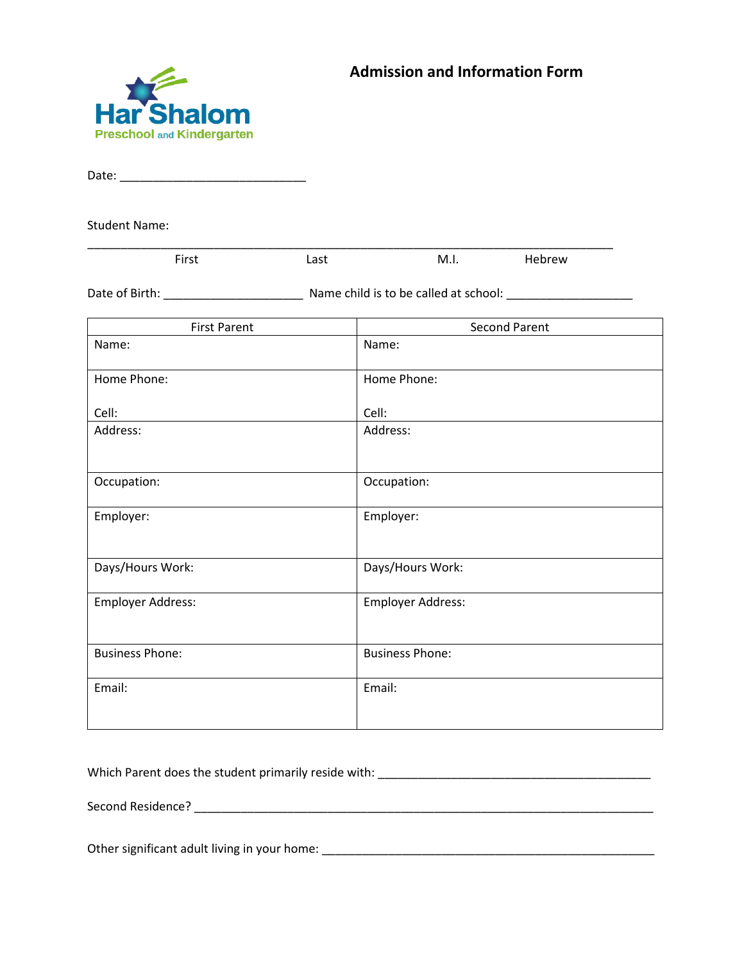



Date: \_\_\_\_\_\_\_\_\_\_\_\_\_\_\_\_\_\_\_\_\_\_\_\_\_\_\_\_

Student Name:

| $- \cdot$<br> | --- | M.I. | ⊂w |  |
|---------------|-----|------|----|--|

Date of Birth: \_\_\_\_\_\_\_\_\_\_\_\_\_\_\_\_\_\_\_\_\_ Name child is to be called at school: \_\_\_\_\_\_\_\_\_\_\_\_\_\_\_\_\_\_\_

| <b>First Parent</b>    | <b>Second Parent</b>     |
|------------------------|--------------------------|
| Name:                  | Name:                    |
| Home Phone:            | Home Phone:              |
| Cell:                  | Cell:                    |
| Address:               | Address:                 |
| Occupation:            | Occupation:              |
| Employer:              | Employer:                |
| Days/Hours Work:       | Days/Hours Work:         |
| Employer Address:      | <b>Employer Address:</b> |
| <b>Business Phone:</b> | <b>Business Phone:</b>   |
| Email:                 | Email:                   |

Which Parent does the student primarily reside with: \_\_\_\_\_\_\_\_\_\_\_\_\_\_\_\_\_\_\_\_\_\_\_\_\_\_\_\_\_\_\_\_\_\_\_\_\_\_\_\_\_

Second Residence? \_\_\_\_\_\_\_\_\_\_\_\_\_\_\_\_\_\_\_\_\_\_\_\_\_\_\_\_\_\_\_\_\_\_\_\_\_\_\_\_\_\_\_\_\_\_\_\_\_\_\_\_\_\_\_\_\_\_\_\_\_\_\_\_\_\_\_\_\_

Other significant adult living in your home: \_\_\_\_\_\_\_\_\_\_\_\_\_\_\_\_\_\_\_\_\_\_\_\_\_\_\_\_\_\_\_\_\_\_\_\_\_\_\_\_\_\_\_\_\_\_\_\_\_\_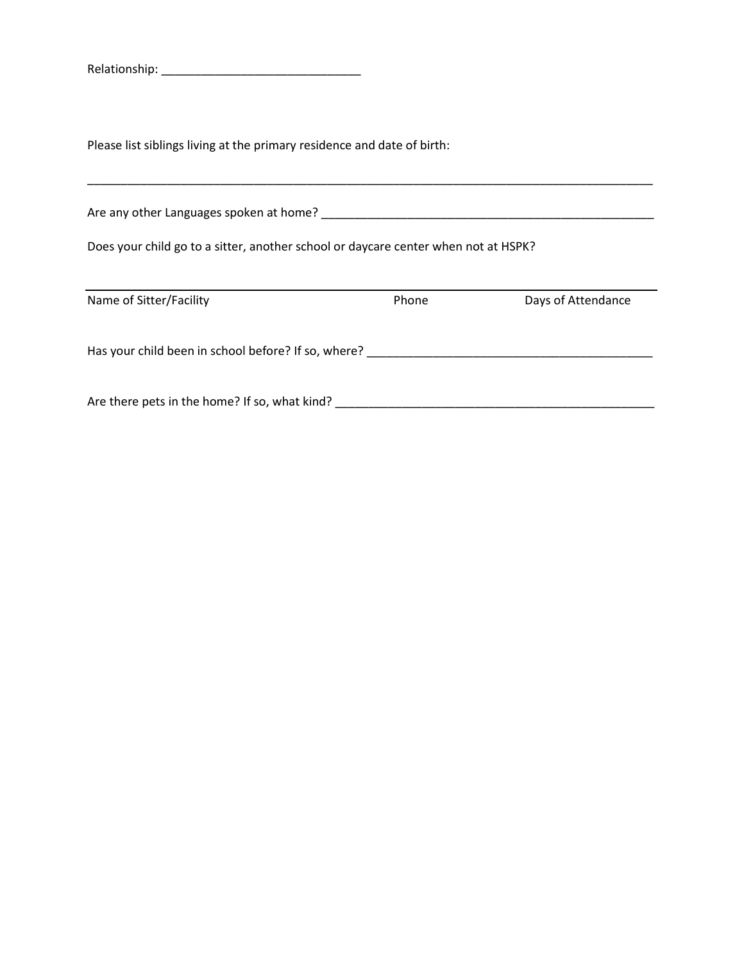Relationship: \_\_\_\_\_\_\_\_\_\_\_\_\_\_\_\_\_\_\_\_\_\_\_\_\_\_\_\_\_\_

Please list siblings living at the primary residence and date of birth:

| Are any other Languages spoken at home?                                            |       |                    |
|------------------------------------------------------------------------------------|-------|--------------------|
| Does your child go to a sitter, another school or daycare center when not at HSPK? |       |                    |
|                                                                                    |       |                    |
| Name of Sitter/Facility                                                            | Phone | Days of Attendance |
| Has your child been in school before? If so, where?                                |       |                    |
| Are there pets in the home? If so, what kind?                                      |       |                    |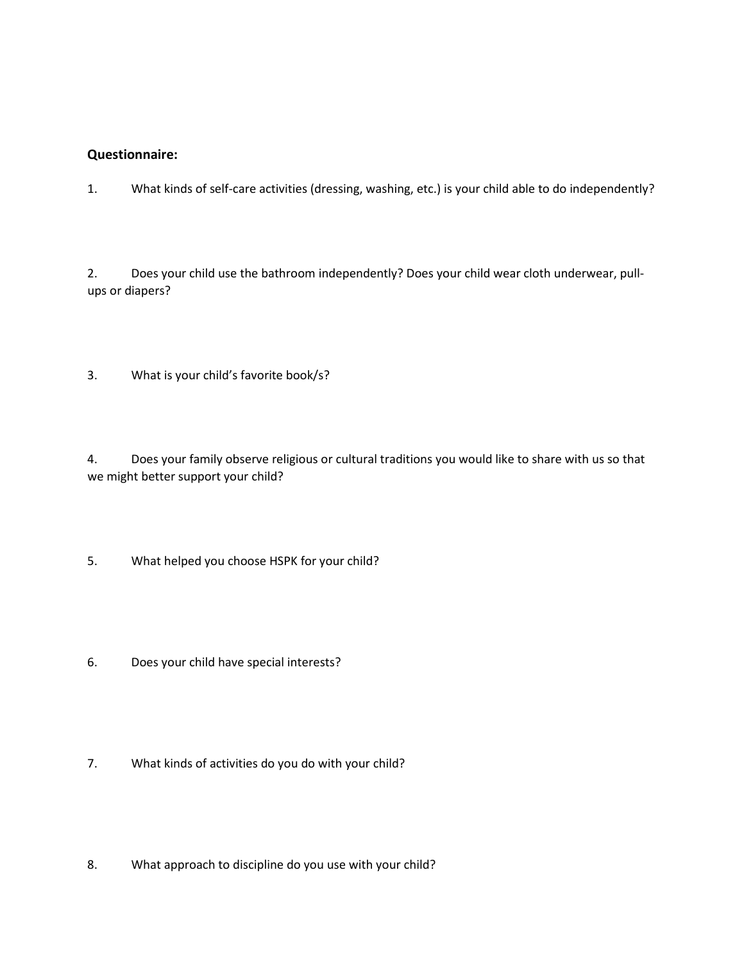#### **Questionnaire:**

1. What kinds of self-care activities (dressing, washing, etc.) is your child able to do independently?

2. Does your child use the bathroom independently? Does your child wear cloth underwear, pullups or diapers?

3. What is your child's favorite book/s?

4. Does your family observe religious or cultural traditions you would like to share with us so that we might better support your child?

- 5. What helped you choose HSPK for your child?
- 6. Does your child have special interests?
- 7. What kinds of activities do you do with your child?
- 8. What approach to discipline do you use with your child?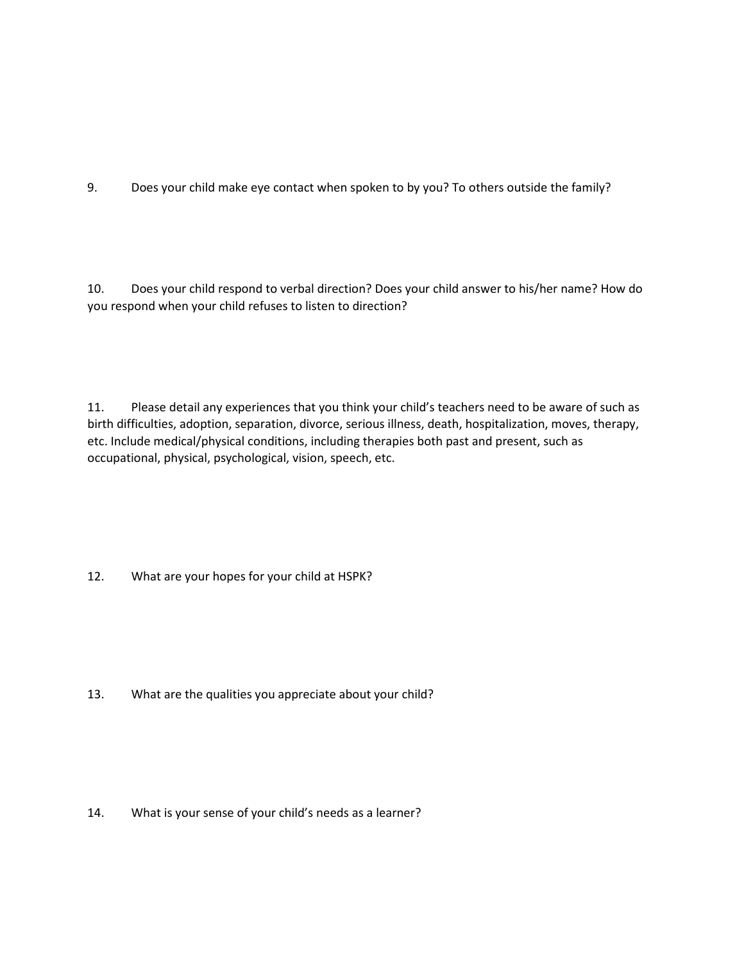9. Does your child make eye contact when spoken to by you? To others outside the family?

10. Does your child respond to verbal direction? Does your child answer to his/her name? How do you respond when your child refuses to listen to direction?

11. Please detail any experiences that you think your child's teachers need to be aware of such as birth difficulties, adoption, separation, divorce, serious illness, death, hospitalization, moves, therapy, etc. Include medical/physical conditions, including therapies both past and present, such as occupational, physical, psychological, vision, speech, etc.

12. What are your hopes for your child at HSPK?

13. What are the qualities you appreciate about your child?

14. What is your sense of your child's needs as a learner?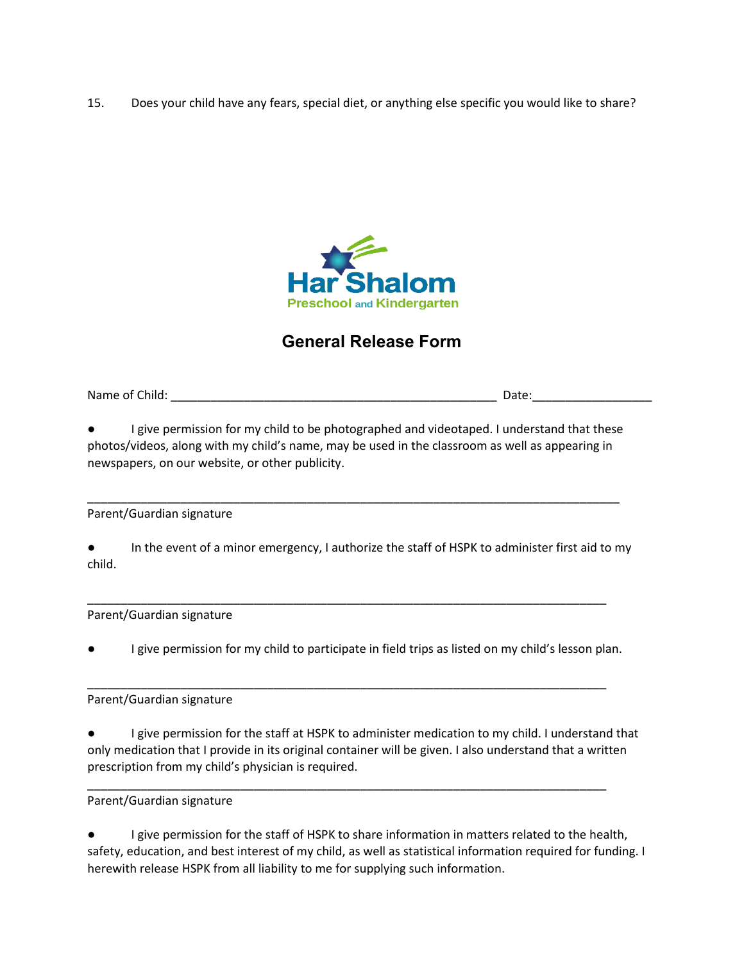15. Does your child have any fears, special diet, or anything else specific you would like to share?



# **General Release Form**

Name of Child:  $\Box$ 

I give permission for my child to be photographed and videotaped. I understand that these photos/videos, along with my child's name, may be used in the classroom as well as appearing in newspapers, on our website, or other publicity.

\_\_\_\_\_\_\_\_\_\_\_\_\_\_\_\_\_\_\_\_\_\_\_\_\_\_\_\_\_\_\_\_\_\_\_\_\_\_\_\_\_\_\_\_\_\_\_\_\_\_\_\_\_\_\_\_\_\_\_\_\_\_\_\_\_\_\_\_\_\_\_\_\_\_\_\_\_\_\_\_

Parent/Guardian signature

● In the event of a minor emergency, I authorize the staff of HSPK to administer first aid to my child.

Parent/Guardian signature

I give permission for my child to participate in field trips as listed on my child's lesson plan.

\_\_\_\_\_\_\_\_\_\_\_\_\_\_\_\_\_\_\_\_\_\_\_\_\_\_\_\_\_\_\_\_\_\_\_\_\_\_\_\_\_\_\_\_\_\_\_\_\_\_\_\_\_\_\_\_\_\_\_\_\_\_\_\_\_\_\_\_\_\_\_\_\_\_\_\_\_\_

\_\_\_\_\_\_\_\_\_\_\_\_\_\_\_\_\_\_\_\_\_\_\_\_\_\_\_\_\_\_\_\_\_\_\_\_\_\_\_\_\_\_\_\_\_\_\_\_\_\_\_\_\_\_\_\_\_\_\_\_\_\_\_\_\_\_\_\_\_\_\_\_\_\_\_\_\_\_

\_\_\_\_\_\_\_\_\_\_\_\_\_\_\_\_\_\_\_\_\_\_\_\_\_\_\_\_\_\_\_\_\_\_\_\_\_\_\_\_\_\_\_\_\_\_\_\_\_\_\_\_\_\_\_\_\_\_\_\_\_\_\_\_\_\_\_\_\_\_\_\_\_\_\_\_\_\_

Parent/Guardian signature

I give permission for the staff at HSPK to administer medication to my child. I understand that only medication that I provide in its original container will be given. I also understand that a written prescription from my child's physician is required.

Parent/Guardian signature

I give permission for the staff of HSPK to share information in matters related to the health, safety, education, and best interest of my child, as well as statistical information required for funding. I herewith release HSPK from all liability to me for supplying such information.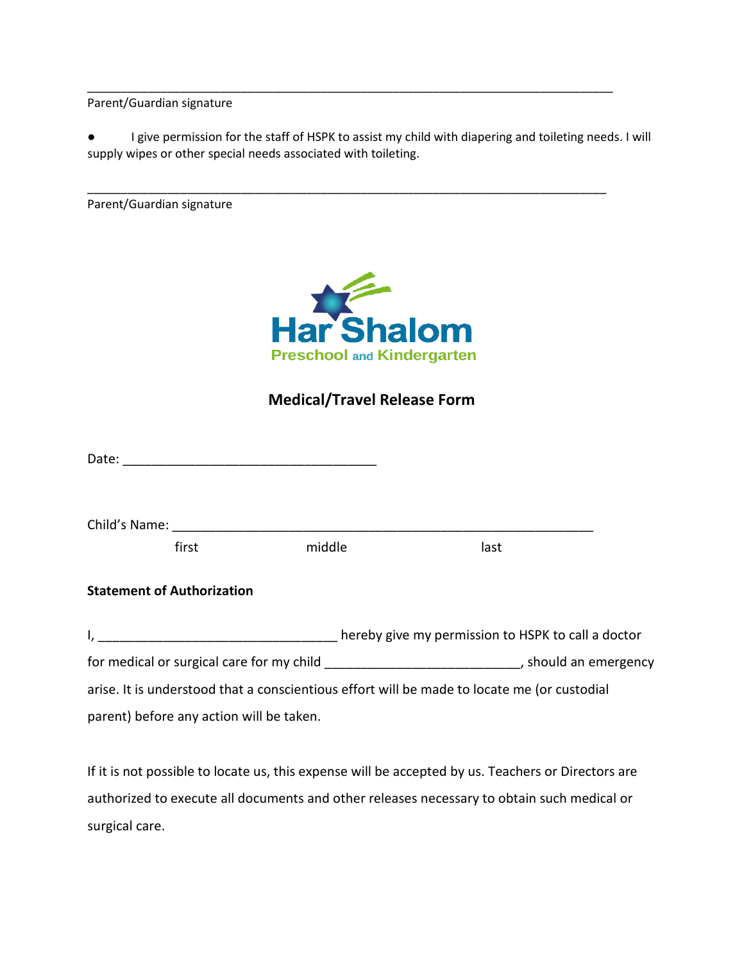Parent/Guardian signature

● I give permission for the staff of HSPK to assist my child with diapering and toileting needs. I will supply wipes or other special needs associated with toileting.

\_\_\_\_\_\_\_\_\_\_\_\_\_\_\_\_\_\_\_\_\_\_\_\_\_\_\_\_\_\_\_\_\_\_\_\_\_\_\_\_\_\_\_\_\_\_\_\_\_\_\_\_\_\_\_\_\_\_\_\_\_\_\_\_\_\_\_\_\_\_\_\_\_\_\_\_\_\_\_

\_\_\_\_\_\_\_\_\_\_\_\_\_\_\_\_\_\_\_\_\_\_\_\_\_\_\_\_\_\_\_\_\_\_\_\_\_\_\_\_\_\_\_\_\_\_\_\_\_\_\_\_\_\_\_\_\_\_\_\_\_\_\_\_\_\_\_\_\_\_\_\_\_\_\_\_\_\_

Parent/Guardian signature



## **Medical/Travel Release Form**

|                                                                                                 | first | middle | last                                                                                        |
|-------------------------------------------------------------------------------------------------|-------|--------|---------------------------------------------------------------------------------------------|
| <b>Statement of Authorization</b>                                                               |       |        | I, thereby give my permission to HSPK to call a doctor                                      |
| for medical or surgical care for my child ________________________________, should an emergency |       |        |                                                                                             |
|                                                                                                 |       |        | arise. It is understood that a conscientious effort will be made to locate me (or custodial |
| parent) before any action will be taken.                                                        |       |        |                                                                                             |

If it is not possible to locate us, this expense will be accepted by us. Teachers or Directors are authorized to execute all documents and other releases necessary to obtain such medical or surgical care.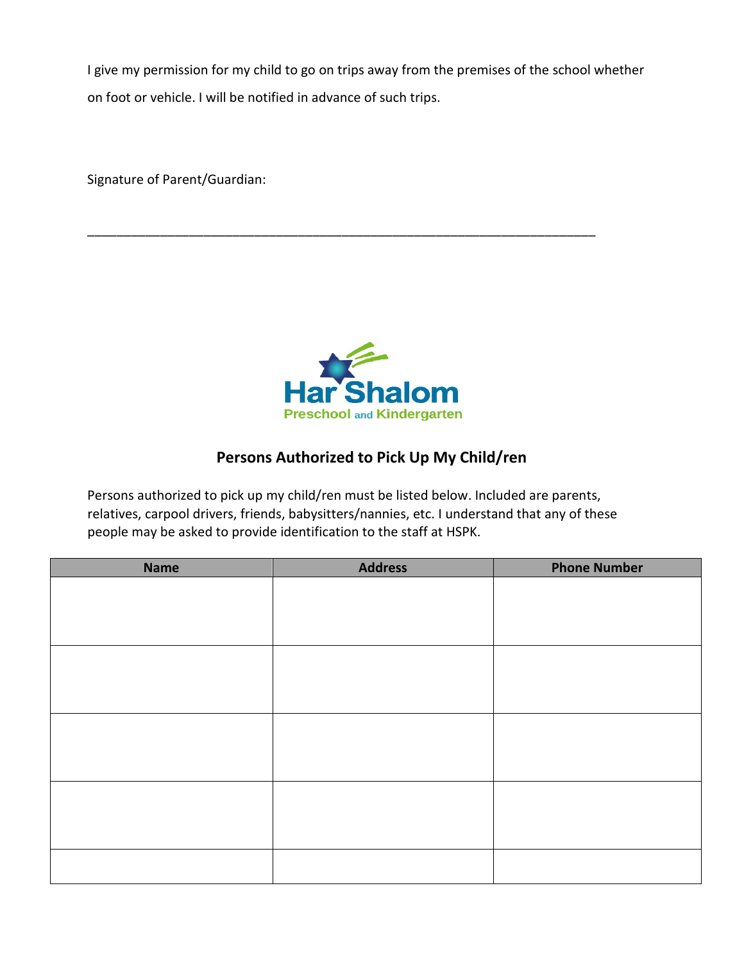I give my permission for my child to go on trips away from the premises of the school whether on foot or vehicle. I will be notified in advance of such trips.

\_\_\_\_\_\_\_\_\_\_\_\_\_\_\_\_\_\_\_\_\_\_\_\_\_\_\_\_\_\_\_\_\_\_\_\_\_\_\_\_\_\_\_\_\_\_\_\_\_\_\_\_\_\_\_\_\_\_\_\_\_\_\_\_\_\_\_\_\_\_

Signature of Parent/Guardian:



## **Persons Authorized to Pick Up My Child/ren**

Persons authorized to pick up my child/ren must be listed below. Included are parents, relatives, carpool drivers, friends, babysitters/nannies, etc. I understand that any of these people may be asked to provide identification to the staff at HSPK.

| <b>Name</b> | <b>Address</b> | <b>Phone Number</b> |
|-------------|----------------|---------------------|
|             |                |                     |
|             |                |                     |
|             |                |                     |
|             |                |                     |
|             |                |                     |
|             |                |                     |
|             |                |                     |
|             |                |                     |
|             |                |                     |
|             |                |                     |
|             |                |                     |
|             |                |                     |
|             |                |                     |
|             |                |                     |
|             |                |                     |
|             |                |                     |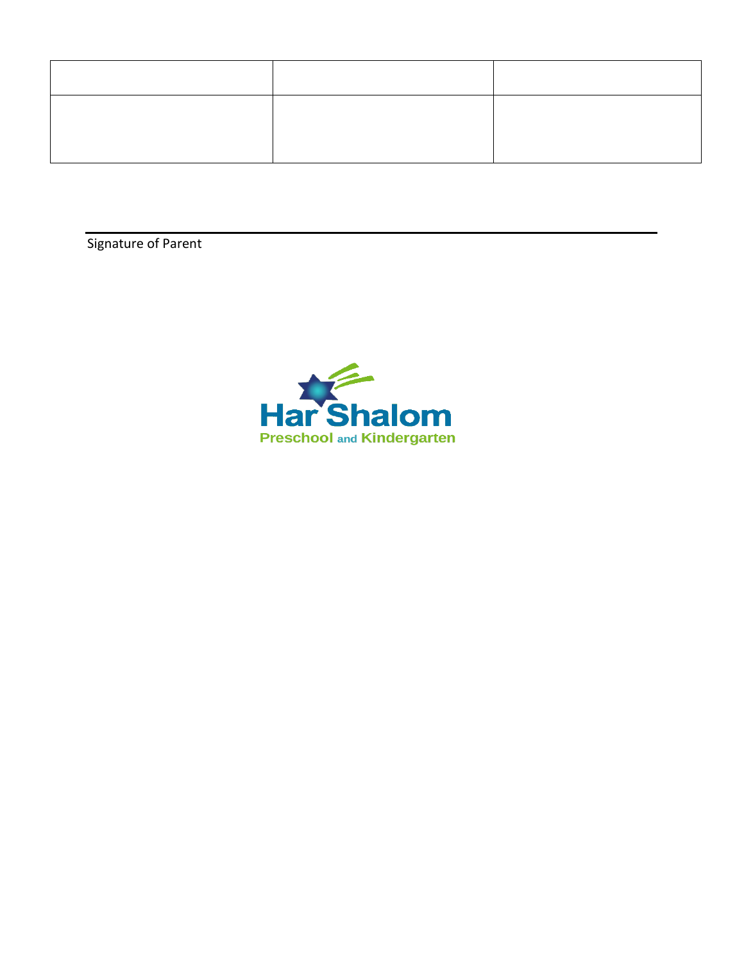Signature of Parent

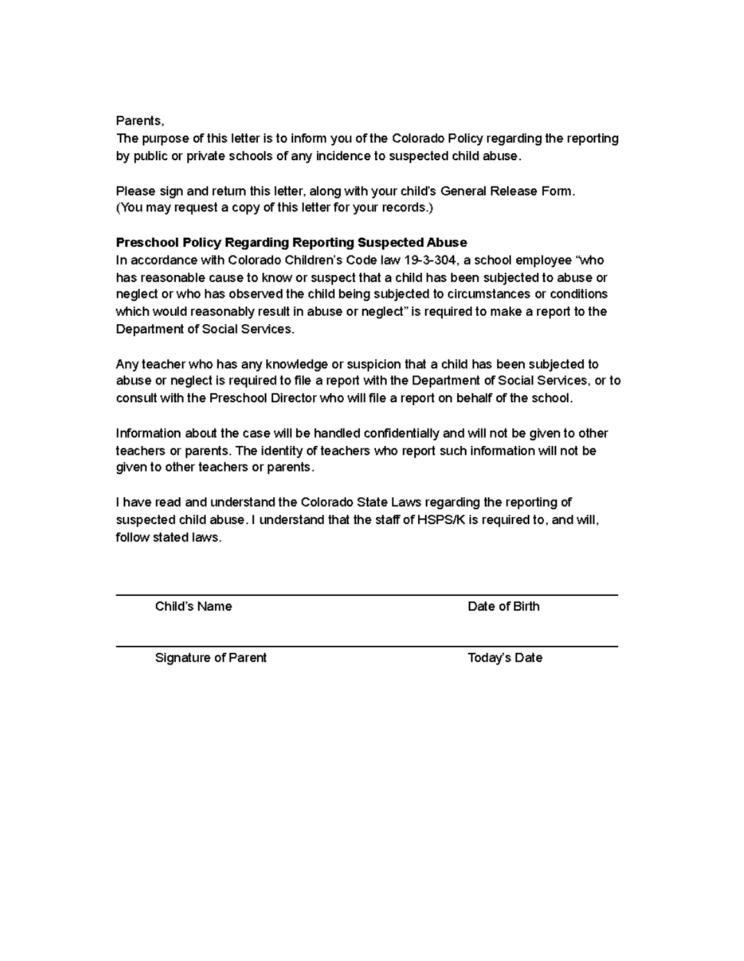#### Parents.

The purpose of this letter is to inform you of the Colorado Policy regarding the reporting by public or private schools of any incidence to suspected child abuse.

Please sign and return this letter, along with your child's General Release Form. (You may request a copy of this letter for your records.)

#### Preschool Policy Regarding Reporting Suspected Abuse

In accordance with Colorado Children's Code law 19-3-304, a school employee "who has reasonable cause to know or suspect that a child has been subjected to abuse or neglect or who has observed the child being subjected to circumstances or conditions which would reasonably result in abuse or neglect" is required to make a report to the Department of Social Services.

Any teacher who has any knowledge or suspicion that a child has been subjected to abuse or neglect is required to file a report with the Department of Social Services, or to consult with the Preschool Director who will file a report on behalf of the school.

Information about the case will be handled confidentially and will not be given to other teachers or parents. The identity of teachers who report such information will not be given to other teachers or parents.

I have read and understand the Colorado State Laws regarding the reporting of suspected child abuse. I understand that the staff of HSPS/K is required to, and will, follow stated laws.

Child's Name

Date of Birth

Signature of Parent

Today's Date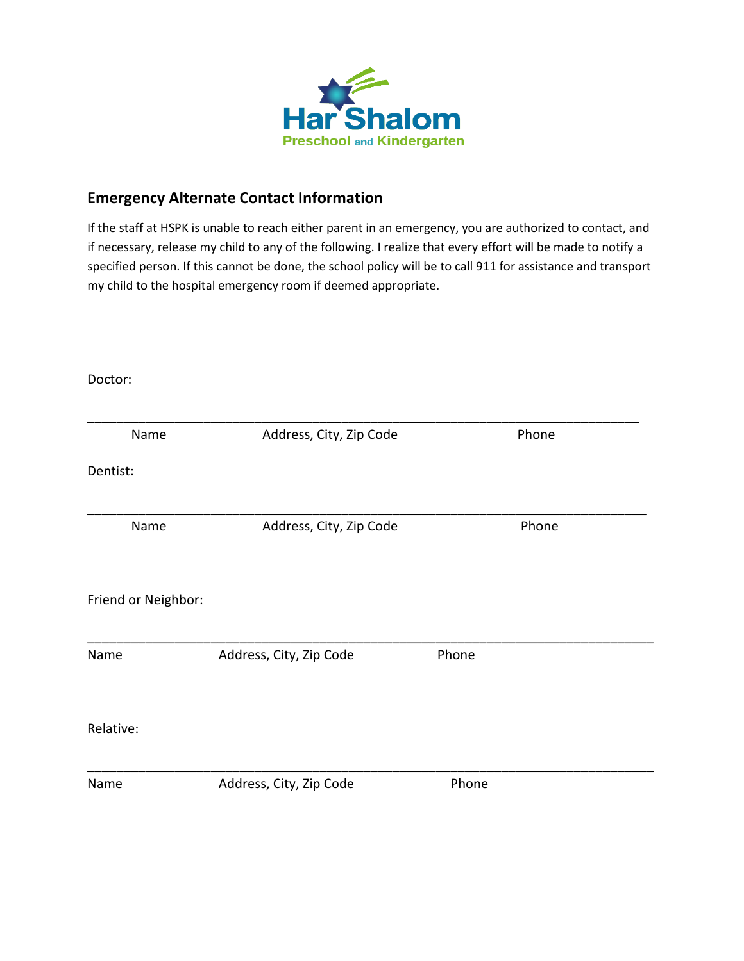

# **Emergency Alternate Contact Information**

If the staff at HSPK is unable to reach either parent in an emergency, you are authorized to contact, and if necessary, release my child to any of the following. I realize that every effort will be made to notify a specified person. If this cannot be done, the school policy will be to call 911 for assistance and transport my child to the hospital emergency room if deemed appropriate.

Doctor:

| Name                | Address, City, Zip Code |       | Phone |
|---------------------|-------------------------|-------|-------|
| Dentist:            |                         |       |       |
| Name                | Address, City, Zip Code |       | Phone |
| Friend or Neighbor: |                         |       |       |
| Name                | Address, City, Zip Code | Phone |       |
| Relative:           |                         |       |       |
| Name                | Address, City, Zip Code | Phone |       |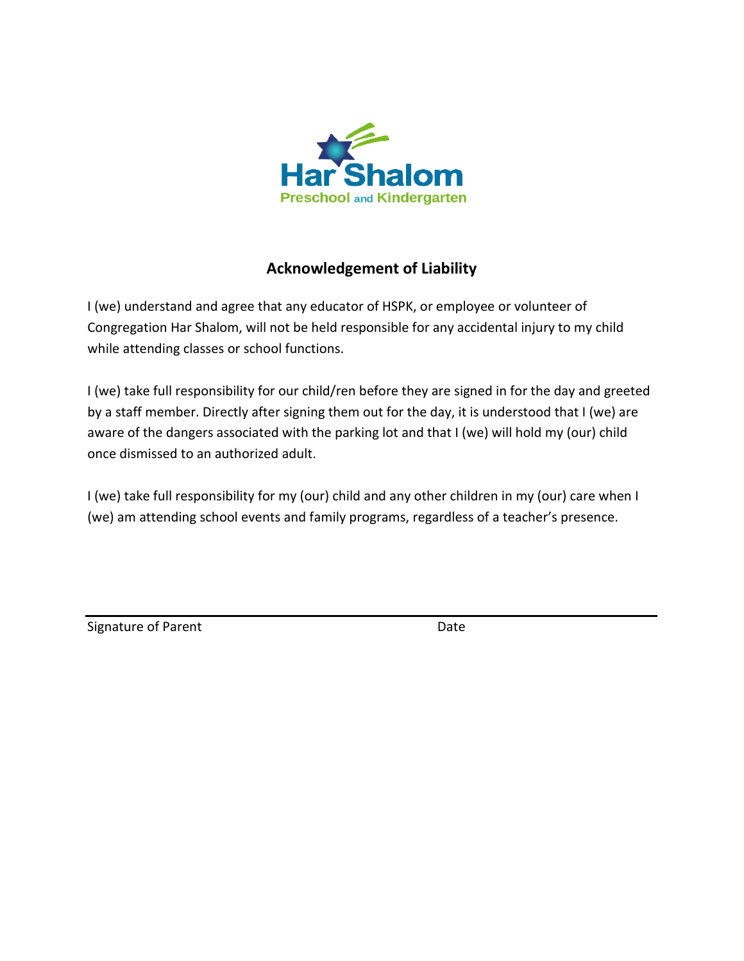

## **Acknowledgement of Liability**

I (we) understand and agree that any educator of HSPK, or employee or volunteer of Congregation Har Shalom, will not be held responsible for any accidental injury to my child while attending classes or school functions.

I (we) take full responsibility for our child/ren before they are signed in for the day and greeted by a staff member. Directly after signing them out for the day, it is understood that I (we) are aware of the dangers associated with the parking lot and that I (we) will hold my (our) child once dismissed to an authorized adult.

I (we) take full responsibility for my (our) child and any other children in my (our) care when I (we) am attending school events and family programs, regardless of a teacher's presence.

| Signature of Parent | Date |
|---------------------|------|
|                     |      |